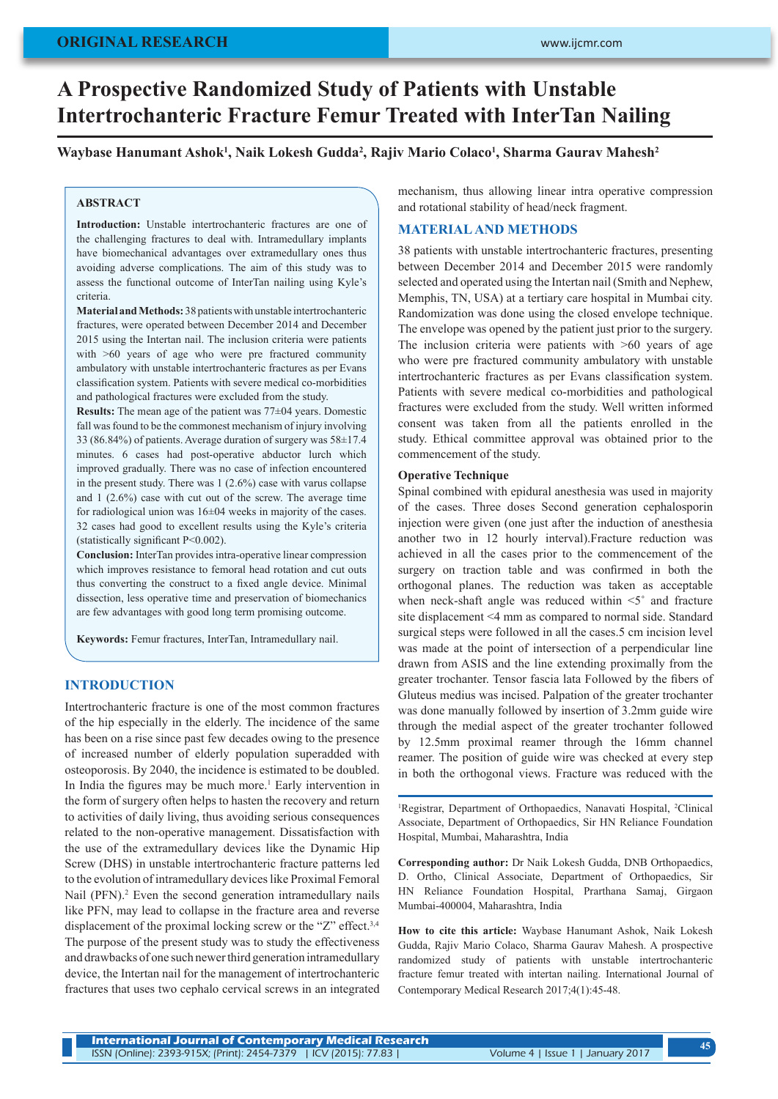# **A Prospective Randomized Study of Patients with Unstable Intertrochanteric Fracture Femur Treated with InterTan Nailing**

**Waybase Hanumant Ashok1 , Naik Lokesh Gudda2 , Rajiv Mario Colaco1 , Sharma Gaurav Mahesh2**

#### **ABSTRACT**

**Introduction:** Unstable intertrochanteric fractures are one of the challenging fractures to deal with. Intramedullary implants have biomechanical advantages over extramedullary ones thus avoiding adverse complications. The aim of this study was to assess the functional outcome of InterTan nailing using Kyle's criteria.

**Material and Methods:** 38 patients with unstable intertrochanteric fractures, were operated between December 2014 and December 2015 using the Intertan nail. The inclusion criteria were patients with >60 years of age who were pre fractured community ambulatory with unstable intertrochanteric fractures as per Evans classification system. Patients with severe medical co-morbidities and pathological fractures were excluded from the study.

**Results:** The mean age of the patient was 77±04 years. Domestic fall was found to be the commonest mechanism of injury involving 33 (86.84%) of patients. Average duration of surgery was 58±17.4 minutes. 6 cases had post-operative abductor lurch which improved gradually. There was no case of infection encountered in the present study. There was 1 (2.6%) case with varus collapse and 1 (2.6%) case with cut out of the screw. The average time for radiological union was 16±04 weeks in majority of the cases. 32 cases had good to excellent results using the Kyle's criteria (statistically significant P<0.002).

**Conclusion:** InterTan provides intra-operative linear compression which improves resistance to femoral head rotation and cut outs thus converting the construct to a fixed angle device. Minimal dissection, less operative time and preservation of biomechanics are few advantages with good long term promising outcome.

**Keywords:** Femur fractures, InterTan, Intramedullary nail.

## **INTRODUCTION**

Intertrochanteric fracture is one of the most common fractures of the hip especially in the elderly. The incidence of the same has been on a rise since past few decades owing to the presence of increased number of elderly population superadded with osteoporosis. By 2040, the incidence is estimated to be doubled. In India the figures may be much more.<sup>1</sup> Early intervention in the form of surgery often helps to hasten the recovery and return to activities of daily living, thus avoiding serious consequences related to the non-operative management. Dissatisfaction with the use of the extramedullary devices like the Dynamic Hip Screw (DHS) in unstable intertrochanteric fracture patterns led to the evolution of intramedullary devices like Proximal Femoral Nail (PFN).<sup>2</sup> Even the second generation intramedullary nails like PFN, may lead to collapse in the fracture area and reverse displacement of the proximal locking screw or the "Z" effect.<sup>3,4</sup> The purpose of the present study was to study the effectiveness and drawbacks of one such newer third generation intramedullary device, the Intertan nail for the management of intertrochanteric fractures that uses two cephalo cervical screws in an integrated

mechanism, thus allowing linear intra operative compression and rotational stability of head/neck fragment.

## **MATERIAL AND METHODS**

38 patients with unstable intertrochanteric fractures, presenting between December 2014 and December 2015 were randomly selected and operated using the Intertan nail (Smith and Nephew, Memphis, TN, USA) at a tertiary care hospital in Mumbai city. Randomization was done using the closed envelope technique. The envelope was opened by the patient just prior to the surgery. The inclusion criteria were patients with >60 years of age who were pre fractured community ambulatory with unstable intertrochanteric fractures as per Evans classification system. Patients with severe medical co-morbidities and pathological fractures were excluded from the study. Well written informed consent was taken from all the patients enrolled in the study. Ethical committee approval was obtained prior to the commencement of the study.

#### **Operative Technique**

Spinal combined with epidural anesthesia was used in majority of the cases. Three doses Second generation cephalosporin injection were given (one just after the induction of anesthesia another two in 12 hourly interval).Fracture reduction was achieved in all the cases prior to the commencement of the surgery on traction table and was confirmed in both the orthogonal planes. The reduction was taken as acceptable when neck-shaft angle was reduced within <5˚ and fracture site displacement <4 mm as compared to normal side. Standard surgical steps were followed in all the cases.5 cm incision level was made at the point of intersection of a perpendicular line drawn from ASIS and the line extending proximally from the greater trochanter. Tensor fascia lata Followed by the fibers of Gluteus medius was incised. Palpation of the greater trochanter was done manually followed by insertion of 3.2mm guide wire through the medial aspect of the greater trochanter followed by 12.5mm proximal reamer through the 16mm channel reamer. The position of guide wire was checked at every step in both the orthogonal views. Fracture was reduced with the

<sup>1</sup>Registrar, Department of Orthopaedics, Nanavati Hospital, <sup>2</sup>Clinical Associate, Department of Orthopaedics, Sir HN Reliance Foundation Hospital, Mumbai, Maharashtra, India

**Corresponding author:** Dr Naik Lokesh Gudda, DNB Orthopaedics, D. Ortho, Clinical Associate, Department of Orthopaedics, Sir HN Reliance Foundation Hospital, Prarthana Samaj, Girgaon Mumbai-400004, Maharashtra, India

**How to cite this article:** Waybase Hanumant Ashok, Naik Lokesh Gudda, Rajiv Mario Colaco, Sharma Gaurav Mahesh. A prospective randomized study of patients with unstable intertrochanteric fracture femur treated with intertan nailing. International Journal of Contemporary Medical Research 2017;4(1):45-48.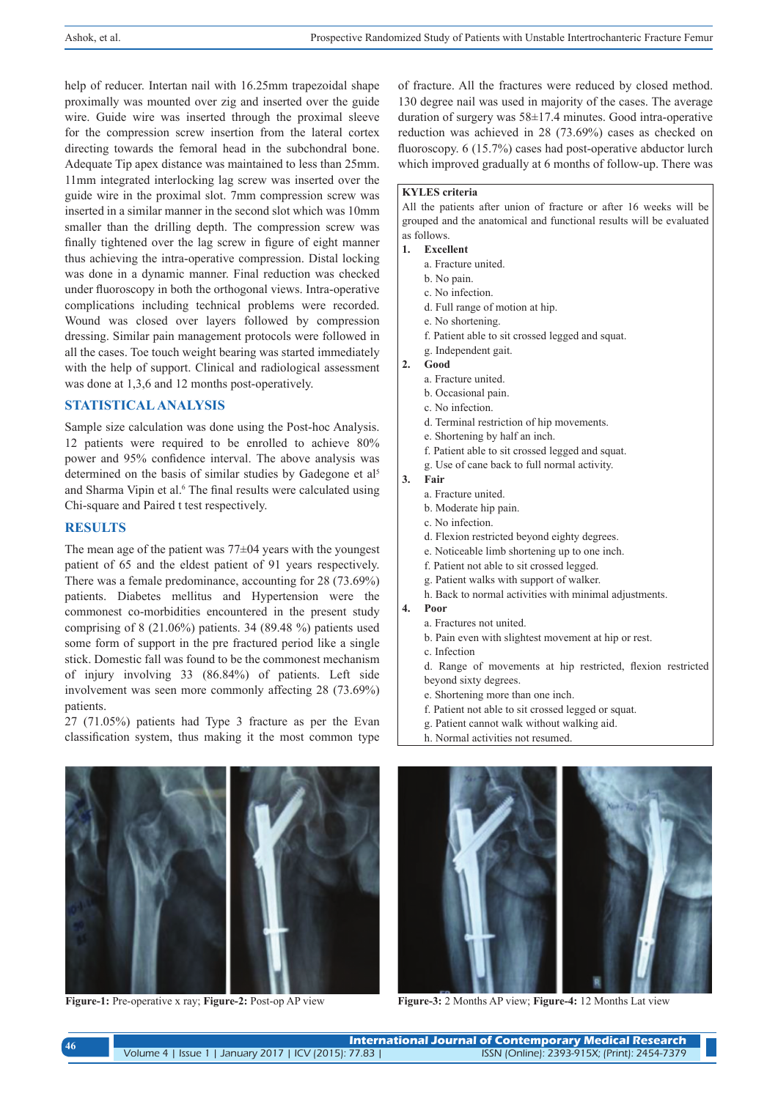help of reducer. Intertan nail with 16.25mm trapezoidal shape proximally was mounted over zig and inserted over the guide wire. Guide wire was inserted through the proximal sleeve for the compression screw insertion from the lateral cortex directing towards the femoral head in the subchondral bone. Adequate Tip apex distance was maintained to less than 25mm. 11mm integrated interlocking lag screw was inserted over the guide wire in the proximal slot. 7mm compression screw was inserted in a similar manner in the second slot which was 10mm smaller than the drilling depth. The compression screw was finally tightened over the lag screw in figure of eight manner thus achieving the intra-operative compression. Distal locking was done in a dynamic manner. Final reduction was checked under fluoroscopy in both the orthogonal views. Intra-operative complications including technical problems were recorded. Wound was closed over layers followed by compression dressing. Similar pain management protocols were followed in all the cases. Toe touch weight bearing was started immediately with the help of support. Clinical and radiological assessment was done at 1,3,6 and 12 months post-operatively.

## **STATISTICAL ANALYSIS**

Sample size calculation was done using the Post-hoc Analysis. 12 patients were required to be enrolled to achieve 80% power and 95% confidence interval. The above analysis was determined on the basis of similar studies by Gadegone et al<sup>5</sup> and Sharma Vipin et al.<sup>6</sup> The final results were calculated using Chi-square and Paired t test respectively.

### **RESULTS**

The mean age of the patient was 77±04 years with the youngest patient of 65 and the eldest patient of 91 years respectively. There was a female predominance, accounting for 28 (73.69%) patients. Diabetes mellitus and Hypertension were the commonest co-morbidities encountered in the present study comprising of 8 (21.06%) patients. 34 (89.48 %) patients used some form of support in the pre fractured period like a single stick. Domestic fall was found to be the commonest mechanism of injury involving 33 (86.84%) of patients. Left side involvement was seen more commonly affecting 28 (73.69%) patients.

27 (71.05%) patients had Type 3 fracture as per the Evan classification system, thus making it the most common type of fracture. All the fractures were reduced by closed method. 130 degree nail was used in majority of the cases. The average duration of surgery was 58±17.4 minutes. Good intra-operative reduction was achieved in 28 (73.69%) cases as checked on fluoroscopy. 6 (15.7%) cases had post-operative abductor lurch which improved gradually at 6 months of follow-up. There was

## **KYLES criteria**

All the patients after union of fracture or after 16 weeks will be grouped and the anatomical and functional results will be evaluated as follows.

- **1. Excellent**
	- a. Fracture united.
	- b. No pain.
	- c. No infection.
	- d. Full range of motion at hip.
	- e. No shortening.
	- f. Patient able to sit crossed legged and squat.
	- g. Independent gait.
- **2. Good**
- a. Fracture united.
	- b. Occasional pain.
	- c. No infection.
	- d. Terminal restriction of hip movements.
	- e. Shortening by half an inch.
	- f. Patient able to sit crossed legged and squat.
	- g. Use of cane back to full normal activity.
- **3. Fair**
	- a. Fracture united.
	- b. Moderate hip pain.
	- c. No infection.
	- d. Flexion restricted beyond eighty degrees.
	- e. Noticeable limb shortening up to one inch.
	- f. Patient not able to sit crossed legged.
	- g. Patient walks with support of walker.
	- h. Back to normal activities with minimal adjustments.
- **4. Poor**
	- a. Fractures not united.
	- b. Pain even with slightest movement at hip or rest.
	- c. Infection
	- d. Range of movements at hip restricted, flexion restricted beyond sixty degrees.
	- e. Shortening more than one inch.
	- f. Patient not able to sit crossed legged or squat.
	- g. Patient cannot walk without walking aid.
	- h. Normal activities not resumed.





**Figure-1:** Pre-operative x ray; **Figure-2:** Post-op AP view **Figure-3:** 2 Months AP view; **Figure-4:** 12 Months Lat view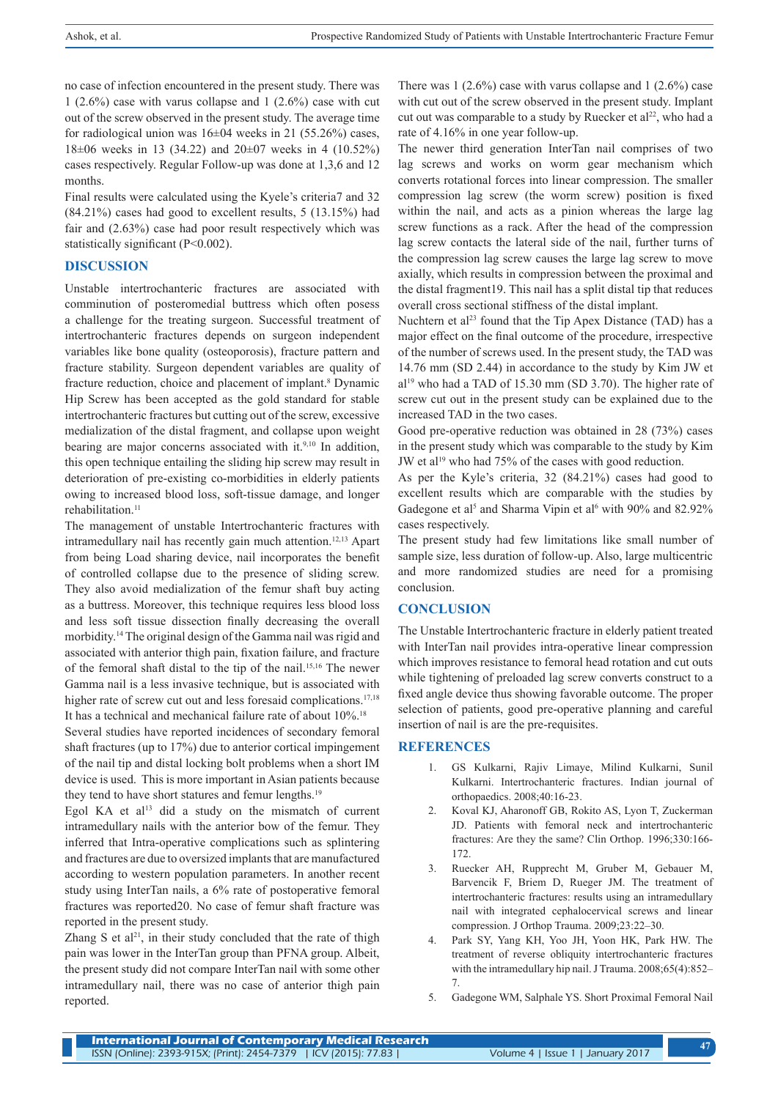no case of infection encountered in the present study. There was 1 (2.6%) case with varus collapse and 1 (2.6%) case with cut out of the screw observed in the present study. The average time for radiological union was 16±04 weeks in 21 (55.26%) cases, 18±06 weeks in 13 (34.22) and 20±07 weeks in 4 (10.52%) cases respectively. Regular Follow-up was done at 1,3,6 and 12 months.

Final results were calculated using the Kyele's criteria7 and 32 (84.21%) cases had good to excellent results, 5 (13.15%) had fair and (2.63%) case had poor result respectively which was statistically significant (P<0.002).

#### **DISCUSSION**

Unstable intertrochanteric fractures are associated with comminution of posteromedial buttress which often posess a challenge for the treating surgeon. Successful treatment of intertrochanteric fractures depends on surgeon independent variables like bone quality (osteoporosis), fracture pattern and fracture stability. Surgeon dependent variables are quality of fracture reduction, choice and placement of implant.<sup>8</sup> Dynamic Hip Screw has been accepted as the gold standard for stable intertrochanteric fractures but cutting out of the screw, excessive medialization of the distal fragment, and collapse upon weight bearing are major concerns associated with it.<sup>9,10</sup> In addition, this open technique entailing the sliding hip screw may result in deterioration of pre-existing co-morbidities in elderly patients owing to increased blood loss, soft-tissue damage, and longer rehabilitation<sup>11</sup>

The management of unstable Intertrochanteric fractures with intramedullary nail has recently gain much attention.12,13 Apart from being Load sharing device, nail incorporates the benefit of controlled collapse due to the presence of sliding screw. They also avoid medialization of the femur shaft buy acting as a buttress. Moreover, this technique requires less blood loss and less soft tissue dissection finally decreasing the overall morbidity.14 The original design of the Gamma nail was rigid and associated with anterior thigh pain, fixation failure, and fracture of the femoral shaft distal to the tip of the nail.15,16 The newer Gamma nail is a less invasive technique, but is associated with higher rate of screw cut out and less foresaid complications.<sup>17,18</sup> It has a technical and mechanical failure rate of about 10%.18

Several studies have reported incidences of secondary femoral shaft fractures (up to 17%) due to anterior cortical impingement of the nail tip and distal locking bolt problems when a short IM device is used. This is more important in Asian patients because they tend to have short statures and femur lengths.<sup>19</sup>

Egol KA et al<sup>13</sup> did a study on the mismatch of current intramedullary nails with the anterior bow of the femur. They inferred that Intra-operative complications such as splintering and fractures are due to oversized implants that are manufactured according to western population parameters. In another recent study using InterTan nails, a 6% rate of postoperative femoral fractures was reported20. No case of femur shaft fracture was reported in the present study.

Zhang S et al<sup>21</sup>, in their study concluded that the rate of thigh pain was lower in the InterTan group than PFNA group. Albeit, the present study did not compare InterTan nail with some other intramedullary nail, there was no case of anterior thigh pain reported.

There was 1 (2.6%) case with varus collapse and 1 (2.6%) case with cut out of the screw observed in the present study. Implant cut out was comparable to a study by Ruecker et al<sup>22</sup>, who had a rate of 4.16% in one year follow-up.

The newer third generation InterTan nail comprises of two lag screws and works on worm gear mechanism which converts rotational forces into linear compression. The smaller compression lag screw (the worm screw) position is fixed within the nail, and acts as a pinion whereas the large lag screw functions as a rack. After the head of the compression lag screw contacts the lateral side of the nail, further turns of the compression lag screw causes the large lag screw to move axially, which results in compression between the proximal and the distal fragment19. This nail has a split distal tip that reduces overall cross sectional stiffness of the distal implant.

Nuchtern et al<sup>23</sup> found that the Tip Apex Distance (TAD) has a major effect on the final outcome of the procedure, irrespective of the number of screws used. In the present study, the TAD was 14.76 mm (SD 2.44) in accordance to the study by Kim JW et  $al<sup>19</sup>$  who had a TAD of 15.30 mm (SD 3.70). The higher rate of screw cut out in the present study can be explained due to the increased TAD in the two cases.

Good pre-operative reduction was obtained in 28 (73%) cases in the present study which was comparable to the study by Kim JW et al<sup>19</sup> who had 75% of the cases with good reduction.

As per the Kyle's criteria, 32 (84.21%) cases had good to excellent results which are comparable with the studies by Gadegone et al<sup>5</sup> and Sharma Vipin et al<sup>6</sup> with 90% and 82.92% cases respectively.

The present study had few limitations like small number of sample size, less duration of follow-up. Also, large multicentric and more randomized studies are need for a promising conclusion.

## **CONCLUSION**

The Unstable Intertrochanteric fracture in elderly patient treated with InterTan nail provides intra-operative linear compression which improves resistance to femoral head rotation and cut outs while tightening of preloaded lag screw converts construct to a fixed angle device thus showing favorable outcome. The proper selection of patients, good pre-operative planning and careful insertion of nail is are the pre-requisites.

#### **REFERENCES**

- 1. GS Kulkarni, Rajiv Limaye, Milind Kulkarni, Sunil Kulkarni. Intertrochanteric fractures. Indian journal of orthopaedics. 2008;40:16-23.
- 2. Koval KJ, Aharonoff GB, Rokito AS, Lyon T, Zuckerman JD. Patients with femoral neck and intertrochanteric fractures: Are they the same? Clin Orthop. 1996;330:166- 172.
- 3. Ruecker AH, Rupprecht M, Gruber M, Gebauer M, Barvencik F, Briem D, Rueger JM. The treatment of intertrochanteric fractures: results using an intramedullary nail with integrated cephalocervical screws and linear compression. J Orthop Trauma. 2009;23:22–30.
- 4. Park SY, Yang KH, Yoo JH, Yoon HK, Park HW. The treatment of reverse obliquity intertrochanteric fractures with the intramedullary hip nail. J Trauma. 2008;65(4):852– 7.
- 5. Gadegone WM, Salphale YS. Short Proximal Femoral Nail